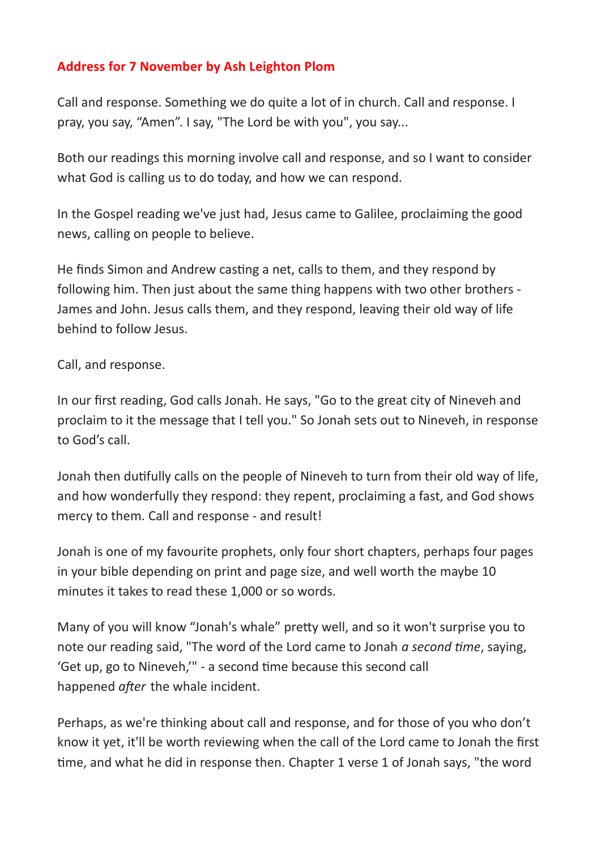## **Address for 7 November by Ash Leighton Plom**

Call and response. Something we do quite a lot of in church. Call and response. I pray, you say, "Amen". I say, "The Lord be with you", you say...

Both our readings this morning involve call and response, and so I want to consider what God is calling us to do today, and how we can respond.

In the Gospel reading we've just had, Jesus came to Galilee, proclaiming the good news, calling on people to believe.

He finds Simon and Andrew casting a net, calls to them, and they respond by following him. Then just about the same thing happens with two other brothers - James and John. Jesus calls them, and they respond, leaving their old way of life behind to follow Jesus.

Call, and response.

In our first reading, God calls Jonah. He says, "Go to the great city of Nineveh and proclaim to it the message that I tell you." So Jonah sets out to Nineveh, in response to God's call.

Jonah then dutifully calls on the people of Nineveh to turn from their old way of life, and how wonderfully they respond: they repent, proclaiming a fast, and God shows mercy to them. Call and response - and result!

Jonah is one of my favourite prophets, only four short chapters, perhaps four pages in your bible depending on print and page size, and well worth the maybe 10 minutes it takes to read these 1,000 or so words.

Many of you will know "Jonah's whale" pretty well, and so it won't surprise you to note our reading said, "The word of the Lord came to Jonah *a second time*, saying, 'Get up, go to Nineveh,'" - a second time because this second call happened *after* the whale incident.

Perhaps, as we're thinking about call and response, and for those of you who don't know it yet, it'll be worth reviewing when the call of the Lord came to Jonah the first time, and what he did in response then. Chapter 1 verse 1 of Jonah says, "the word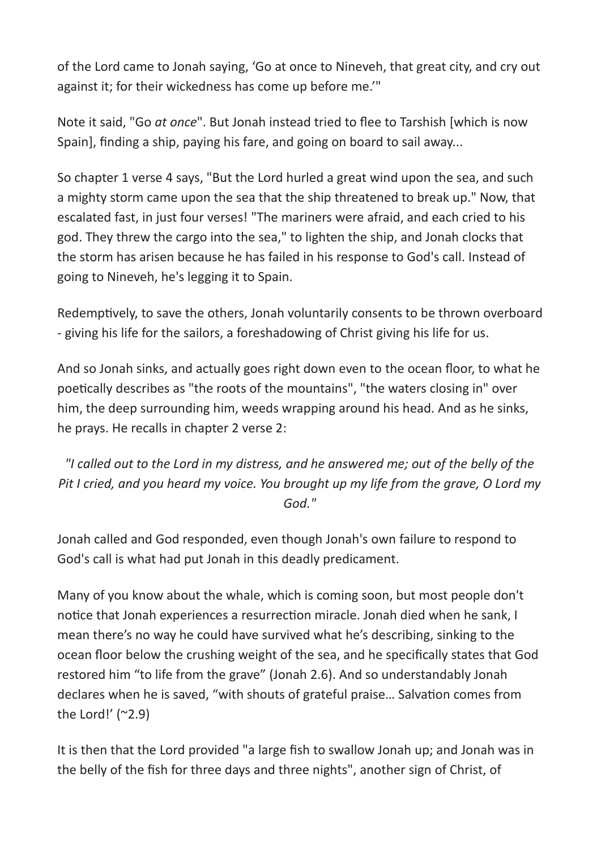of the Lord came to Jonah saying, 'Go at once to Nineveh, that great city, and cry out against it; for their wickedness has come up before me.'"

Note it said, "Go *at once*". But Jonah instead tried to flee to Tarshish [which is now Spain], finding a ship, paying his fare, and going on board to sail away...

So chapter 1 verse 4 says, "But the Lord hurled a great wind upon the sea, and such a mighty storm came upon the sea that the ship threatened to break up." Now, that escalated fast, in just four verses! "The mariners were afraid, and each cried to his god. They threw the cargo into the sea," to lighten the ship, and Jonah clocks that the storm has arisen because he has failed in his response to God's call. Instead of going to Nineveh, he's legging it to Spain.

Redemptively, to save the others, Jonah voluntarily consents to be thrown overboard - giving his life for the sailors, a foreshadowing of Christ giving his life for us.

And so Jonah sinks, and actually goes right down even to the ocean floor, to what he poetically describes as "the roots of the mountains", "the waters closing in" over him, the deep surrounding him, weeds wrapping around his head. And as he sinks, he prays. He recalls in chapter 2 verse 2:

*"I called out to the Lord in my distress, and he answered me; out of the belly of the Pit I cried, and you heard my voice. You brought up my life from the grave, O Lord my God."*

Jonah called and God responded, even though Jonah's own failure to respond to God's call is what had put Jonah in this deadly predicament.

Many of you know about the whale, which is coming soon, but most people don't notice that Jonah experiences a resurrection miracle. Jonah died when he sank, I mean there's no way he could have survived what he's describing, sinking to the ocean floor below the crushing weight of the sea, and he specifically states that God restored him "to life from the grave" (Jonah 2.6). And so understandably Jonah declares when he is saved, "with shouts of grateful praise… Salvation comes from the Lord!'  $(2.9)$ 

It is then that the Lord provided "a large fish to swallow Jonah up; and Jonah was in the belly of the fish for three days and three nights", another sign of Christ, of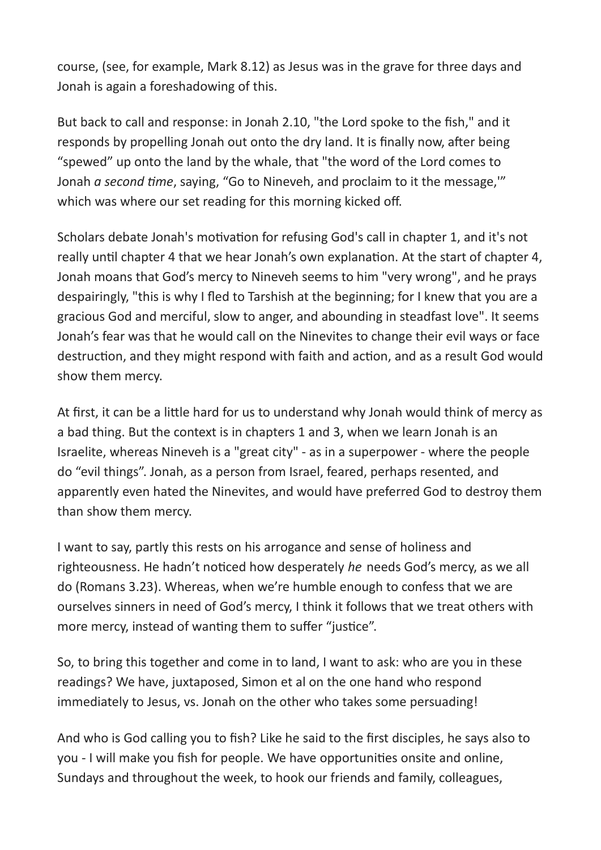course, (see, for example, Mark 8.12) as Jesus was in the grave for three days and Jonah is again a foreshadowing of this.

But back to call and response: in Jonah 2.10, "the Lord spoke to the fish," and it responds by propelling Jonah out onto the dry land. It is finally now, after being "spewed" up onto the land by the whale, that "the word of the Lord comes to Jonah *a second time*, saying, "Go to Nineveh, and proclaim to it the message,'" which was where our set reading for this morning kicked off.

Scholars debate Jonah's motivation for refusing God's call in chapter 1, and it's not really until chapter 4 that we hear Jonah's own explanation. At the start of chapter 4, Jonah moans that God's mercy to Nineveh seems to him "very wrong", and he prays despairingly, "this is why I fled to Tarshish at the beginning; for I knew that you are a gracious God and merciful, slow to anger, and abounding in steadfast love". It seems Jonah's fear was that he would call on the Ninevites to change their evil ways or face destruction, and they might respond with faith and action, and as a result God would show them mercy.

At first, it can be a little hard for us to understand why Jonah would think of mercy as a bad thing. But the context is in chapters 1 and 3, when we learn Jonah is an Israelite, whereas Nineveh is a "great city" - as in a superpower - where the people do "evil things". Jonah, as a person from Israel, feared, perhaps resented, and apparently even hated the Ninevites, and would have preferred God to destroy them than show them mercy.

I want to say, partly this rests on his arrogance and sense of holiness and righteousness. He hadn't noticed how desperately *he* needs God's mercy, as we all do (Romans 3.23). Whereas, when we're humble enough to confess that we are ourselves sinners in need of God's mercy, I think it follows that we treat others with more mercy, instead of wanting them to suffer "justice".

So, to bring this together and come in to land, I want to ask: who are you in these readings? We have, juxtaposed, Simon et al on the one hand who respond immediately to Jesus, vs. Jonah on the other who takes some persuading!

And who is God calling you to fish? Like he said to the first disciples, he says also to you - I will make you fish for people. We have opportunities onsite and online, Sundays and throughout the week, to hook our friends and family, colleagues,